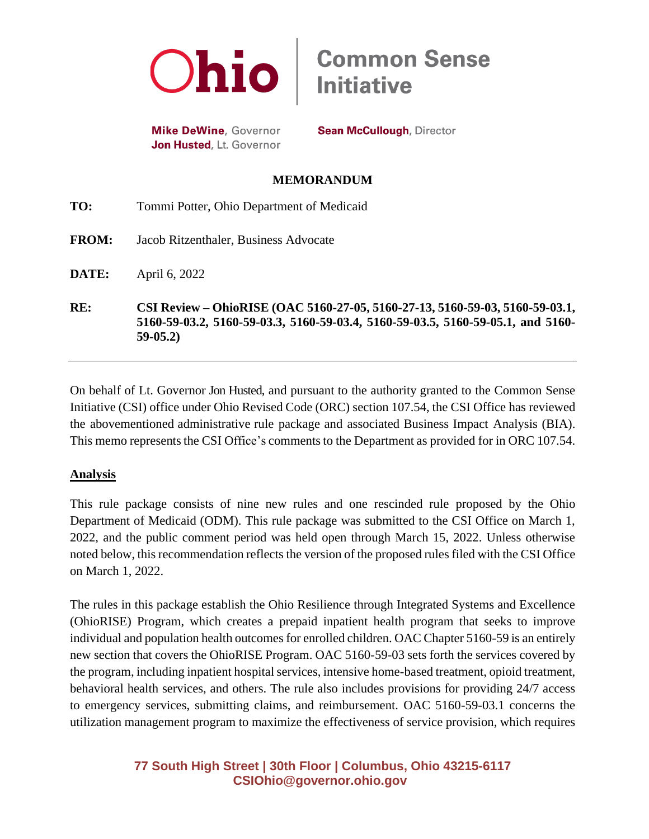

**Mike DeWine**, Governor Jon Husted, Lt. Governor **Sean McCullough, Director** 

**Common Sense<br>Initiative** 

#### **MEMORANDUM**

| RE:          | CSI Review – OhioRISE (OAC 5160-27-05, 5160-27-13, 5160-59-03, 5160-59-03.1,<br>5160-59-03.2, 5160-59-03.3, 5160-59-03.4, 5160-59-03.5, 5160-59-05.1, and 5160-<br>$59-05.2$ |
|--------------|------------------------------------------------------------------------------------------------------------------------------------------------------------------------------|
| DATE:        | April 6, 2022                                                                                                                                                                |
| <b>FROM:</b> | Jacob Ritzenthaler, Business Advocate                                                                                                                                        |
| TO:          | Tommi Potter, Ohio Department of Medicaid                                                                                                                                    |

On behalf of Lt. Governor Jon Husted, and pursuant to the authority granted to the Common Sense Initiative (CSI) office under Ohio Revised Code (ORC) section 107.54, the CSI Office has reviewed the abovementioned administrative rule package and associated Business Impact Analysis (BIA). This memo represents the CSI Office's comments to the Department as provided for in ORC 107.54.

### **Analysis**

This rule package consists of nine new rules and one rescinded rule proposed by the Ohio Department of Medicaid (ODM). This rule package was submitted to the CSI Office on March 1, 2022, and the public comment period was held open through March 15, 2022. Unless otherwise noted below, this recommendation reflects the version of the proposed rules filed with the CSI Office on March 1, 2022.

The rules in this package establish the Ohio Resilience through Integrated Systems and Excellence (OhioRISE) Program, which creates a prepaid inpatient health program that seeks to improve individual and population health outcomes for enrolled children. OAC Chapter 5160-59 is an entirely new section that covers the OhioRISE Program. OAC 5160-59-03 sets forth the services covered by the program, including inpatient hospital services, intensive home-based treatment, opioid treatment, behavioral health services, and others. The rule also includes provisions for providing 24/7 access to emergency services, submitting claims, and reimbursement. OAC 5160-59-03.1 concerns the utilization management program to maximize the effectiveness of service provision, which requires

## **77 South High Street | 30th Floor | Columbus, Ohio 43215-6117 [CSIOhio@governor.ohio.gov](mailto:CSIOhio@governor.ohio.gov)**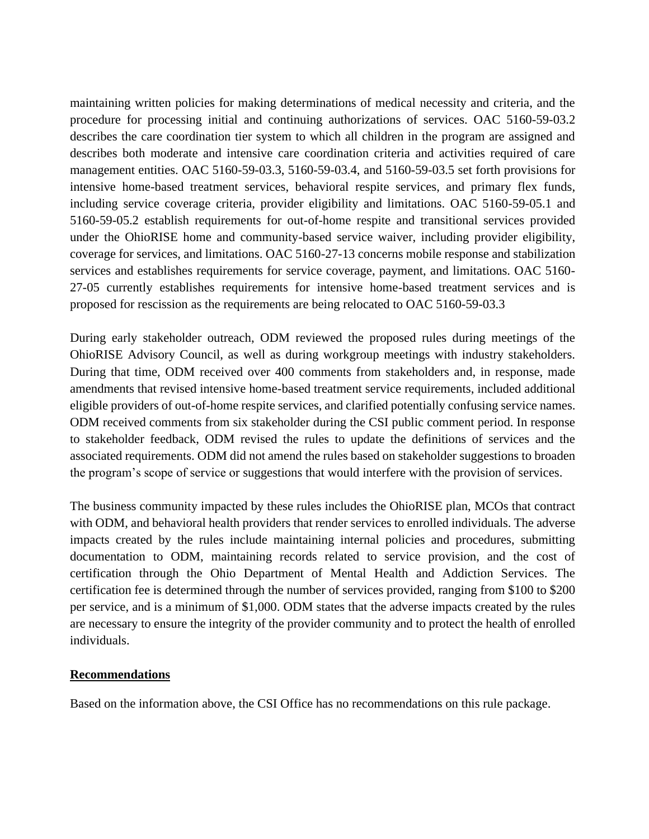maintaining written policies for making determinations of medical necessity and criteria, and the procedure for processing initial and continuing authorizations of services. OAC 5160-59-03.2 describes the care coordination tier system to which all children in the program are assigned and describes both moderate and intensive care coordination criteria and activities required of care management entities. OAC 5160-59-03.3, 5160-59-03.4, and 5160-59-03.5 set forth provisions for intensive home-based treatment services, behavioral respite services, and primary flex funds, including service coverage criteria, provider eligibility and limitations. OAC 5160-59-05.1 and 5160-59-05.2 establish requirements for out-of-home respite and transitional services provided under the OhioRISE home and community-based service waiver, including provider eligibility, coverage for services, and limitations. OAC 5160-27-13 concerns mobile response and stabilization services and establishes requirements for service coverage, payment, and limitations. OAC 5160- 27-05 currently establishes requirements for intensive home-based treatment services and is proposed for rescission as the requirements are being relocated to OAC 5160-59-03.3

During early stakeholder outreach, ODM reviewed the proposed rules during meetings of the OhioRISE Advisory Council, as well as during workgroup meetings with industry stakeholders. During that time, ODM received over 400 comments from stakeholders and, in response, made amendments that revised intensive home-based treatment service requirements, included additional eligible providers of out-of-home respite services, and clarified potentially confusing service names. ODM received comments from six stakeholder during the CSI public comment period. In response to stakeholder feedback, ODM revised the rules to update the definitions of services and the associated requirements. ODM did not amend the rules based on stakeholder suggestions to broaden the program's scope of service or suggestions that would interfere with the provision of services.

The business community impacted by these rules includes the OhioRISE plan, MCOs that contract with ODM, and behavioral health providers that render services to enrolled individuals. The adverse impacts created by the rules include maintaining internal policies and procedures, submitting documentation to ODM, maintaining records related to service provision, and the cost of certification through the Ohio Department of Mental Health and Addiction Services. The certification fee is determined through the number of services provided, ranging from \$100 to \$200 per service, and is a minimum of \$1,000. ODM states that the adverse impacts created by the rules are necessary to ensure the integrity of the provider community and to protect the health of enrolled individuals.

#### **Recommendations**

Based on the information above, the CSI Office has no recommendations on this rule package.